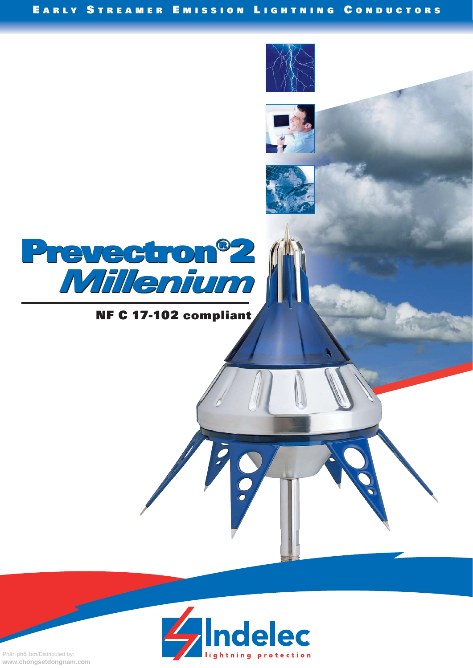

# NF C 17-102 compliant



Phân phối bởi/Distributed by: www.chongsetdongnam.com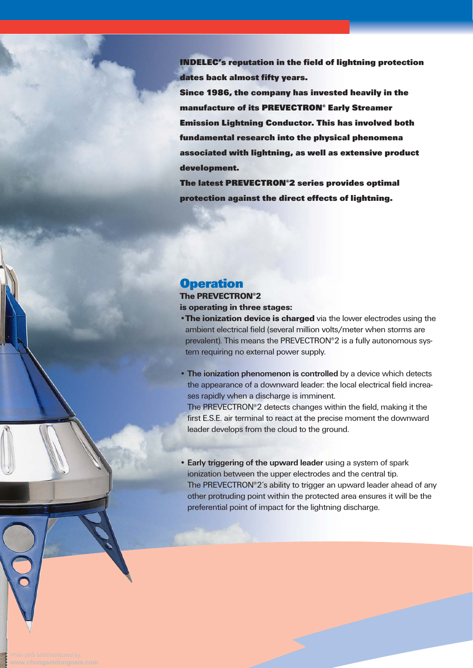**INDELEC's reputation in the field of lightning protection dates back almost fifty years.**

**Since 1986, the company has invested heavily in the manufacture of its PREVECTRON® Early Streamer Emission Lightning Conductor. This has involved both fundamental research into the physical phenomena associated with lightning, as well as extensive product development.**

**The latest PREVECTRON®2 series provides optimal protection against the direct effects of lightning.**

### **Operation**

The PREVECTRON®2 is operating in three stages:

- **•The ionization device is charged** via the lower electrodes using the ambient electrical field (several million volts/meter when storms are prevalent). This means the PREVECTRON®2 is a fully autonomous system requiring no external power supply.
- **The ionization phenomenon is controlled** by a device which detects the appearance of a downward leader: the local electrical field increases rapidly when a discharge is imminent. The PREVECTRON®2 detects changes within the field, making it the

first E.S.E. air terminal to react at the precise moment the downward leader develops from the cloud to the ground.

**• Early triggering of the upward leader** using a system of spark ionization between the upper electrodes and the central tip. The PREVECTRON®2's ability to trigger an upward leader ahead of any other protruding point within the protected area ensures it will be the preferential point of impact for the lightning discharge.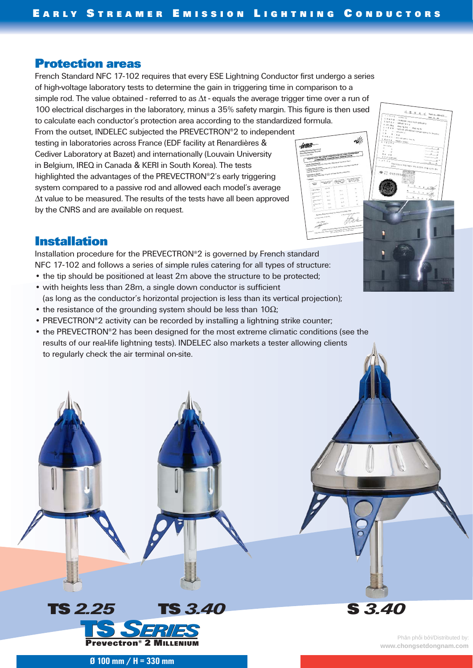### **Protection areas**

French Standard NFC 17-102 requires that every ESE Lightning Conductor first undergo a series of high-voltage laboratory tests to determine the gain in triggering time in comparison to a simple rod. The value obtained - referred to as  $\Delta t$  - equals the average trigger time over a run of 100 electrical discharges in the laboratory, minus a 35% safety margin. This figure is then used to calculate each conductor's protection area according to the standardized formula.

From the outset, INDELEC subjected the PREVECTRON®2 to independent testing in laboratories across France (EDF facility at Renardières & Cediver Laboratory at Bazet) and internationally (Louvain University in Belgium, IREQ in Canada & KERI in South Korea). The tests highlighted the advantages of the PREVECTRON®2's early triggering system compared to a passive rod and allowed each model's average Δt value to be measured. The results of the tests have all been approved by the CNRS and are available on request.

# $m = 1$

 $x + 1$ 

### **Installation**

Installation procedure for the PREVECTRON®2 is governed by French standard NFC 17-102 and follows a series of simple rules catering for all types of structure: • the tip should be positioned at least 2m above the structure to be protected;

• with heights less than 28m, a single down conductor is sufficient

(as long as the conductor's horizontal projection is less than its vertical projection);

- the resistance of the grounding system should be less than  $10\Omega$ ;
- PREVECTRON®2 activity can be recorded by installing a lightning strike counter;
- the PREVECTRON®2 has been designed for the most extreme climatic conditions (see the results of our real-life lightning tests). INDELEC also markets a tester allowing clients to regularly check the air terminal on-site.



**S** *3.40*

**Ø 100 mm / H = 330 mm**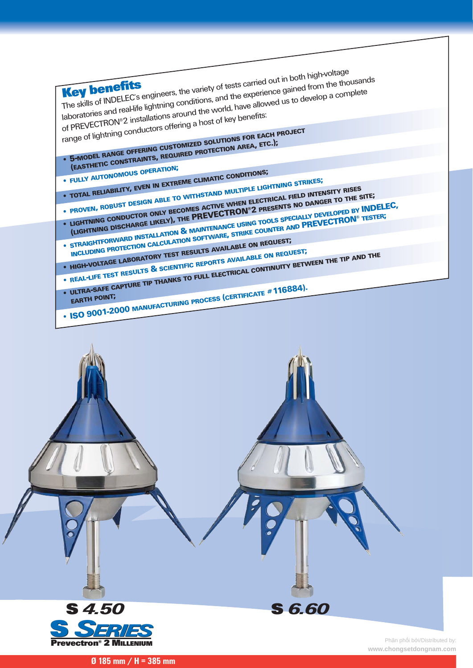| The skills of INDELEC's engineers, the variety of tests carried out in both high-voltage                                           |                                                                                                                                                                                                                                                                                                                                                    |
|------------------------------------------------------------------------------------------------------------------------------------|----------------------------------------------------------------------------------------------------------------------------------------------------------------------------------------------------------------------------------------------------------------------------------------------------------------------------------------------------|
|                                                                                                                                    | laboratories and real-life lightning conditions, and the experience gained from the thousands                                                                                                                                                                                                                                                      |
|                                                                                                                                    |                                                                                                                                                                                                                                                                                                                                                    |
|                                                                                                                                    |                                                                                                                                                                                                                                                                                                                                                    |
|                                                                                                                                    |                                                                                                                                                                                                                                                                                                                                                    |
|                                                                                                                                    |                                                                                                                                                                                                                                                                                                                                                    |
|                                                                                                                                    | of PREVECTRON®2 installations around the world, have allowed us to develop a complete                                                                                                                                                                                                                                                              |
| range of lightning conductors offering a host of key benefits:                                                                     |                                                                                                                                                                                                                                                                                                                                                    |
| . 5-MODEL RANGE OFFERING CUSTOMIZED SOLUTIONS FOR EACH PROJECT<br>(EASTHETIC CONSTRAINTS, REQUIRED PROTECTION AREA, ETC.);         |                                                                                                                                                                                                                                                                                                                                                    |
|                                                                                                                                    |                                                                                                                                                                                                                                                                                                                                                    |
|                                                                                                                                    |                                                                                                                                                                                                                                                                                                                                                    |
| · FULLY AUTONOMOUS OPERATION;                                                                                                      |                                                                                                                                                                                                                                                                                                                                                    |
| • TOTAL RELIABILITY, EVEN IN EXTREME CLIMATIC CONDITIONS;<br>· PROVEN, ROBUST DESIGN ABLE TO WITHSTAND MULTIPLE LIGHTNING STRIKES; |                                                                                                                                                                                                                                                                                                                                                    |
|                                                                                                                                    |                                                                                                                                                                                                                                                                                                                                                    |
|                                                                                                                                    |                                                                                                                                                                                                                                                                                                                                                    |
|                                                                                                                                    |                                                                                                                                                                                                                                                                                                                                                    |
|                                                                                                                                    | • LIGHTNING CONDUCTOR ONLY BECOMES ACTIVE WHEN ELECTRICAL FIELD INTENSITY RISES<br>(LIGHTNING DISCHARGE LIKELY), THE PREVECTRON®2 PRESENTS NO DANGER TO THE SITE;<br>• STRAIGHTFORWARD INSTALLATION & MAINTENANCE USING TOOLS SPECIALLY DEVELOPED BY INDELEC.<br>INCLUDING PROTECTION CALCULATION SOFTWARE, STRIKE COUNTER AND PREVECTRON® TESTER; |
|                                                                                                                                    |                                                                                                                                                                                                                                                                                                                                                    |
| . HIGH-VOLTAGE LABORATORY TEST RESULTS AVAILABLE ON REQUEST;                                                                       |                                                                                                                                                                                                                                                                                                                                                    |
|                                                                                                                                    |                                                                                                                                                                                                                                                                                                                                                    |
| . REAL-LIFE TEST RESULTS & SCIENTIFIC REPORTS AVAILABLE ON REQUEST;                                                                |                                                                                                                                                                                                                                                                                                                                                    |
|                                                                                                                                    |                                                                                                                                                                                                                                                                                                                                                    |
|                                                                                                                                    |                                                                                                                                                                                                                                                                                                                                                    |
| • ISO 9001-2000 MANUFACTURING PROCESS (CERTIFICATE #116884).                                                                       | • ULTRA-SAFE CAPTURE TIP THANKS TO FULL ELECTRICAL CONTINUITY BETWEEN THE TIP AND THE                                                                                                                                                                                                                                                              |
|                                                                                                                                    |                                                                                                                                                                                                                                                                                                                                                    |
|                                                                                                                                    |                                                                                                                                                                                                                                                                                                                                                    |
|                                                                                                                                    |                                                                                                                                                                                                                                                                                                                                                    |
|                                                                                                                                    |                                                                                                                                                                                                                                                                                                                                                    |
|                                                                                                                                    |                                                                                                                                                                                                                                                                                                                                                    |
|                                                                                                                                    |                                                                                                                                                                                                                                                                                                                                                    |
|                                                                                                                                    |                                                                                                                                                                                                                                                                                                                                                    |
|                                                                                                                                    |                                                                                                                                                                                                                                                                                                                                                    |
|                                                                                                                                    |                                                                                                                                                                                                                                                                                                                                                    |



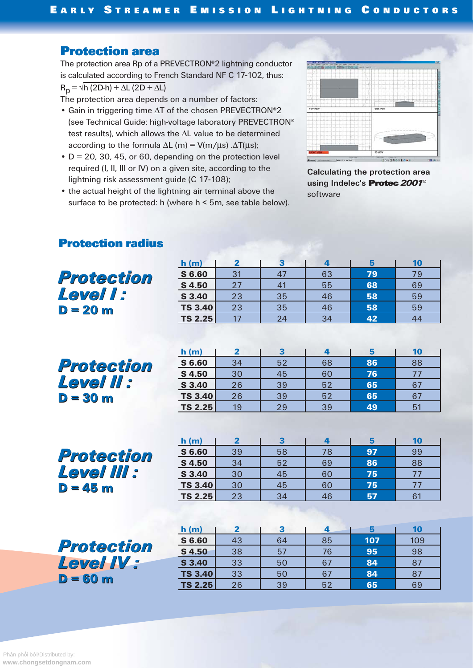# **Protection area**

The protection area Rp of a PREVECTRON®2 lightning conductor is calculated according to French Standard NF C 17-102, thus:  $R_p = \sqrt{h (2D-h) + \Delta L (2D + \Delta L)}$ 

The protection area depends on a number of factors:

- Gain in triggering time ΔT of the chosen PREVECTRON®2 (see Technical Guide: high-voltage laboratory PREVECTRON® test results), which allows the ΔL value to be determined according to the formula  $\Delta L$  (m) = V(m/ $\mu$ s) . $\Delta T(\mu s)$ ;
- $\cdot$  D = 20, 30, 45, or 60, depending on the protection level required (I, II, III or IV) on a given site, according to the lightning risk assessment guide (C 17-108);
- the actual height of the lightning air terminal above the surface to be protected: h (where h < 5m, see table below).



**Calculating the protection area using Indelec's Protec** *2001***©** software

|                                             | h(m)           | $\mathbf{2}$   | 3            | 4  | 5   | 10  |
|---------------------------------------------|----------------|----------------|--------------|----|-----|-----|
| Protection<br><b>Level I:</b><br>$D = 20$ m | S 6.60         | 31             | 47           | 63 | 79  | 79  |
|                                             | S 4.50         | 27             | 41           | 55 | 68  | 69  |
|                                             | S 3.40         | 23             | 35           | 46 | 58  | 59  |
|                                             | <b>TS 3.40</b> | 23             | 35           | 46 | 58  | 59  |
|                                             | <b>TS 2.25</b> | 17             | 24           | 34 | 42  | 44  |
|                                             |                |                |              |    |     |     |
|                                             |                |                |              |    |     |     |
|                                             | h(m)           | $\mathbf{2}$   | 3            | 4  | 5   | 10  |
| Protection                                  | S 6.60         | 34             | 52           | 68 | 86  | 88  |
|                                             | S 4.50         | 30             | 45           | 60 | 76  | 77  |
| <b>Level II :</b>                           | S 3.40         | 26             | 39           | 52 | 65  | 67  |
| $D = 30$ m                                  | <b>TS 3.40</b> | 26             | 39           | 52 | 65  | 67  |
|                                             | <b>TS 2.25</b> | 19             | 29           | 39 | 49  | 51  |
|                                             |                |                |              |    |     |     |
|                                             | h(m)           | $\overline{2}$ | $\mathbf{3}$ | 4  | 5   | 10  |
| Protection                                  | S 6.60         | 39             | 58           | 78 | 97  | 99  |
|                                             | S 4.50         | 34             | 52           | 69 | 86  | 88  |
| <b>Level III :</b>                          | S 3.40         | 30             | 45           | 60 | 75  | 77  |
| $D = 45$ m                                  | <b>TS 3.40</b> | 30             | 45           | 60 | 75  | 77  |
|                                             | <b>TS 2.25</b> | 23             | 34           | 46 | 57  | 61  |
|                                             |                |                |              |    |     |     |
|                                             | h(m)           | 2              | 3            | 4  | 5   | 10  |
|                                             | S 6.60         | 43             | 64           | 85 | 107 | 109 |
| Protection                                  | <b>S4.50</b>   | 38             | 57           | 76 | 95  | 98  |
| <b>Level IV:</b>                            | S 3.40         | 33             | 50           | 67 | 84  | 87  |
| $D = 60$ m                                  | <b>TS 3.40</b> | 33             | 50           | 67 | 84  | 87  |
|                                             | <b>TS 2.25</b> | 26             | 39           | 52 | 65  | 69  |

# **Protection radius**